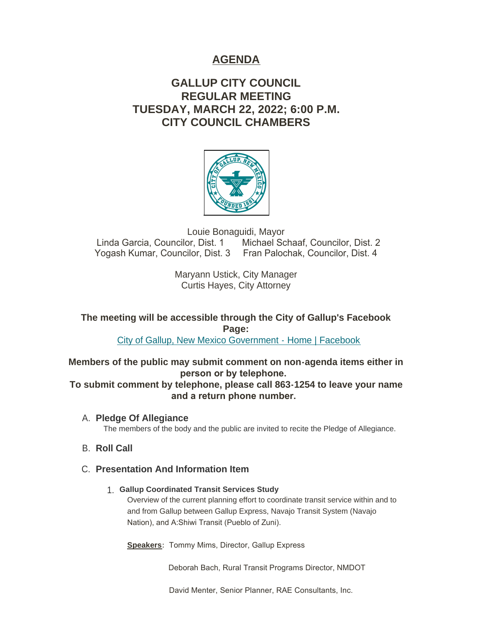# **AGENDA**

# **GALLUP CITY COUNCIL REGULAR MEETING TUESDAY, MARCH 22, 2022; 6:00 P.M. CITY COUNCIL CHAMBERS**



Louie Bonaguidi, Mayor<br>Linda Garcia, Councilor, Dist. 1 Michael Sc Michael Schaaf, Councilor, Dist. 2 Yogash Kumar, Councilor, Dist. 3 Fran Palochak, Councilor, Dist. 4

> Maryann Ustick, City Manager Curtis Hayes, City Attorney

**The meeting will be accessible through the City of Gallup's Facebook Page:**

[City of Gallup, New Mexico Government - Home | Facebook](https://www.facebook.com/CityOfGallup)

**Members of the public may submit comment on non-agenda items either in person or by telephone.** 

**To submit comment by telephone, please call 863-1254 to leave your name and a return phone number.** 

**Pledge Of Allegiance** A.

The members of the body and the public are invited to recite the Pledge of Allegiance.

# **B.** Roll Call

# **Presentation And Information Item** C.

# **Gallup Coordinated Transit Services Study** 1.

Overview of the current planning effort to coordinate transit service within and to and from Gallup between Gallup Express, Navajo Transit System (Navajo Nation), and A:Shiwi Transit (Pueblo of Zuni).

**Speakers:** Tommy Mims, Director, Gallup Express

Deborah Bach, Rural Transit Programs Director, NMDOT

David Menter, Senior Planner, RAE Consultants, Inc.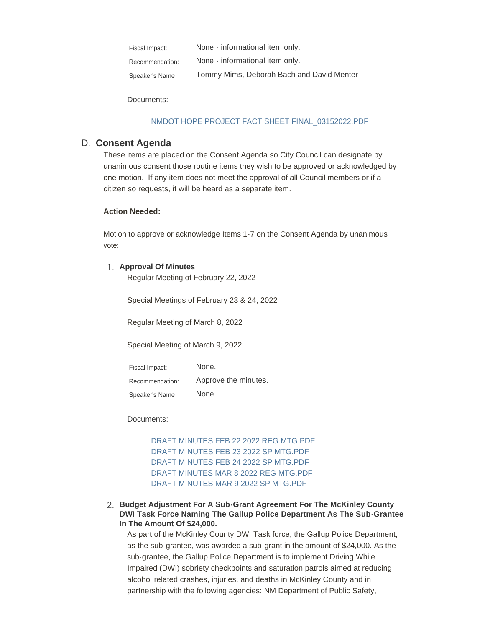None - informational item only. None - informational item only. Tommy Mims, Deborah Bach and David Menter Fiscal Impact: Recommendation: Speaker's Name

Documents:

### [NMDOT HOPE PROJECT FACT SHEET FINAL\\_03152022.PDF](https://www.gallupnm.gov/AgendaCenter/ViewFile/Item/2885?fileID=12470)

# **Consent Agenda** D.

These items are placed on the Consent Agenda so City Council can designate by unanimous consent those routine items they wish to be approved or acknowledged by one motion. If any item does not meet the approval of all Council members or if a citizen so requests, it will be heard as a separate item.

#### **Action Needed:**

Motion to approve or acknowledge Items 1-7 on the Consent Agenda by unanimous vote:

# **Approval Of Minutes** 1.

Regular Meeting of February 22, 2022

Special Meetings of February 23 & 24, 2022

Regular Meeting of March 8, 2022

Special Meeting of March 9, 2022

None. Approve the minutes. None. Fiscal Impact: Recommendation: Speaker's Name

Documents:

[DRAFT MINUTES FEB 22 2022 REG MTG.PDF](https://www.gallupnm.gov/AgendaCenter/ViewFile/Item/2895?fileID=12482) [DRAFT MINUTES FEB 23 2022 SP MTG.PDF](https://www.gallupnm.gov/AgendaCenter/ViewFile/Item/2895?fileID=12483) [DRAFT MINUTES FEB 24 2022 SP MTG.PDF](https://www.gallupnm.gov/AgendaCenter/ViewFile/Item/2895?fileID=12484) [DRAFT MINUTES MAR 8 2022 REG MTG.PDF](https://www.gallupnm.gov/AgendaCenter/ViewFile/Item/2895?fileID=12485) [DRAFT MINUTES MAR 9 2022 SP MTG.PDF](https://www.gallupnm.gov/AgendaCenter/ViewFile/Item/2895?fileID=12486)

**Budget Adjustment For A Sub-Grant Agreement For The McKinley County**  2. **DWI Task Force Naming The Gallup Police Department As The Sub-Grantee In The Amount Of \$24,000.** 

As part of the McKinley County DWI Task force, the Gallup Police Department, as the sub-grantee, was awarded a sub-grant in the amount of \$24,000. As the sub-grantee, the Gallup Police Department is to implement Driving While Impaired (DWI) sobriety checkpoints and saturation patrols aimed at reducing alcohol related crashes, injuries, and deaths in McKinley County and in partnership with the following agencies: NM Department of Public Safety,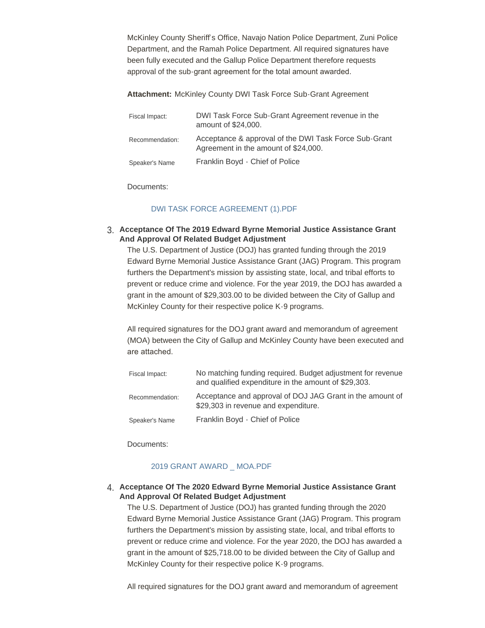McKinley County Sheriff's Office, Navajo Nation Police Department, Zuni Police Department, and the Ramah Police Department. All required signatures have been fully executed and the Gallup Police Department therefore requests approval of the sub-grant agreement for the total amount awarded.

**Attachment:** McKinley County DWI Task Force Sub-Grant Agreement

| Fiscal Impact:  | DWI Task Force Sub-Grant Agreement revenue in the<br>amount of \$24,000.                      |
|-----------------|-----------------------------------------------------------------------------------------------|
| Recommendation: | Acceptance & approval of the DWI Task Force Sub-Grant<br>Agreement in the amount of \$24,000. |
| Speaker's Name  | Franklin Boyd - Chief of Police                                                               |

Documents:

#### [DWI TASK FORCE AGREEMENT \(1\).PDF](https://www.gallupnm.gov/AgendaCenter/ViewFile/Item/2892?fileID=12477)

### **Acceptance Of The 2019 Edward Byrne Memorial Justice Assistance Grant**  3. **And Approval Of Related Budget Adjustment**

The U.S. Department of Justice (DOJ) has granted funding through the 2019 Edward Byrne Memorial Justice Assistance Grant (JAG) Program. This program furthers the Department's mission by assisting state, local, and tribal efforts to prevent or reduce crime and violence. For the year 2019, the DOJ has awarded a grant in the amount of \$29,303.00 to be divided between the City of Gallup and McKinley County for their respective police K-9 programs.

All required signatures for the DOJ grant award and memorandum of agreement (MOA) between the City of Gallup and McKinley County have been executed and are attached.

| Fiscal Impact:  | No matching funding required. Budget adjustment for revenue<br>and qualified expenditure in the amount of \$29,303. |
|-----------------|---------------------------------------------------------------------------------------------------------------------|
| Recommendation: | Acceptance and approval of DOJ JAG Grant in the amount of<br>\$29,303 in revenue and expenditure.                   |
| Speaker's Name  | Franklin Boyd - Chief of Police                                                                                     |

Documents:

#### [2019 GRANT AWARD \\_ MOA.PDF](https://www.gallupnm.gov/AgendaCenter/ViewFile/Item/2876?fileID=12462)

### **Acceptance Of The 2020 Edward Byrne Memorial Justice Assistance Grant**  4. **And Approval Of Related Budget Adjustment**

The U.S. Department of Justice (DOJ) has granted funding through the 2020 Edward Byrne Memorial Justice Assistance Grant (JAG) Program. This program furthers the Department's mission by assisting state, local, and tribal efforts to prevent or reduce crime and violence. For the year 2020, the DOJ has awarded a grant in the amount of \$25,718.00 to be divided between the City of Gallup and McKinley County for their respective police K-9 programs.

All required signatures for the DOJ grant award and memorandum of agreement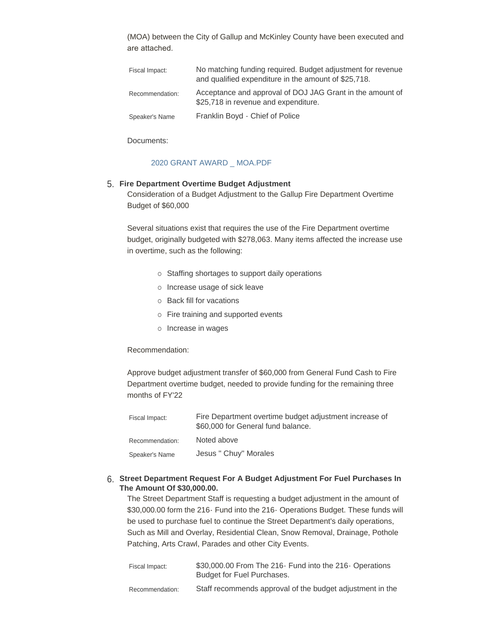(MOA) between the City of Gallup and McKinley County have been executed and are attached.

| Fiscal Impact:  | No matching funding required. Budget adjustment for revenue<br>and qualified expenditure in the amount of \$25,718. |
|-----------------|---------------------------------------------------------------------------------------------------------------------|
| Recommendation: | Acceptance and approval of DOJ JAG Grant in the amount of<br>\$25,718 in revenue and expenditure.                   |
| Speaker's Name  | Franklin Boyd - Chief of Police                                                                                     |

Documents:

## [2020 GRANT AWARD \\_ MOA.PDF](https://www.gallupnm.gov/AgendaCenter/ViewFile/Item/2877?fileID=12463)

# **Fire Department Overtime Budget Adjustment** 5.

Consideration of a Budget Adjustment to the Gallup Fire Department Overtime Budget of \$60,000

Several situations exist that requires the use of the Fire Department overtime budget, originally budgeted with \$278,063. Many items affected the increase use in overtime, such as the following:

- o Staffing shortages to support daily operations
- o Increase usage of sick leave
- o Back fill for vacations
- o Fire training and supported events
- o Increase in wages

#### Recommendation:

Approve budget adjustment transfer of \$60,000 from General Fund Cash to Fire Department overtime budget, needed to provide funding for the remaining three months of FY'22

| Fiscal Impact:  | Fire Department overtime budget adjustment increase of<br>\$60,000 for General fund balance. |
|-----------------|----------------------------------------------------------------------------------------------|
| Recommendation: | Noted above                                                                                  |
| Speaker's Name  | Jesus " Chuy" Morales                                                                        |

### **Street Department Request For A Budget Adjustment For Fuel Purchases In**  6. **The Amount Of \$30,000.00.**

The Street Department Staff is requesting a budget adjustment in the amount of \$30,000.00 form the 216- Fund into the 216- Operations Budget. These funds will be used to purchase fuel to continue the Street Department's daily operations, Such as Mill and Overlay, Residential Clean, Snow Removal, Drainage, Pothole Patching, Arts Crawl, Parades and other City Events.

| Fiscal Impact:  | \$30,000.00 From The 216 Fund into the 216 Operations     |
|-----------------|-----------------------------------------------------------|
|                 | Budget for Fuel Purchases.                                |
| Recommendation: | Staff recommends approval of the budget adjustment in the |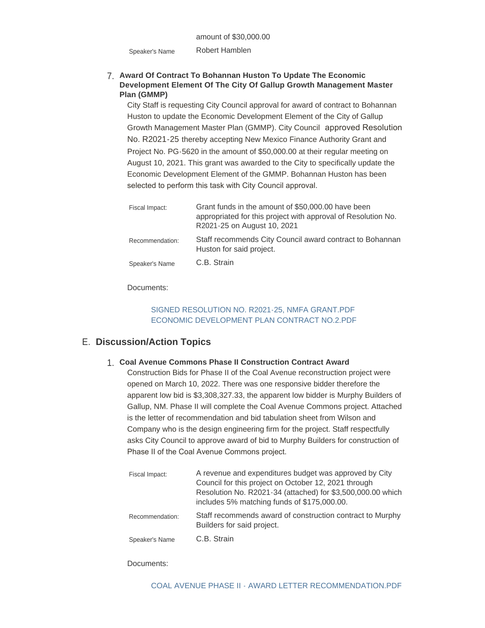Robert Hamblen Speaker's Name

# **Award Of Contract To Bohannan Huston To Update The Economic**  7. **Development Element Of The City Of Gallup Growth Management Master Plan (GMMP)**

City Staff is requesting City Council approval for award of contract to Bohannan Huston to update the Economic Development Element of the City of Gallup Growth Management Master Plan (GMMP). City Council approved Resolution No. R2021-25 thereby accepting New Mexico Finance Authority Grant and Project No. PG-5620 in the amount of \$50,000.00 at their regular meeting on August 10, 2021. This grant was awarded to the City to specifically update the Economic Development Element of the GMMP. Bohannan Huston has been selected to perform this task with City Council approval.

| Fiscal Impact:  | Grant funds in the amount of \$50,000.00 have been<br>appropriated for this project with approval of Resolution No.<br>R2021-25 on August 10, 2021 |
|-----------------|----------------------------------------------------------------------------------------------------------------------------------------------------|
| Recommendation: | Staff recommends City Council award contract to Bohannan<br>Huston for said project.                                                               |
| Speaker's Name  | C.B. Strain                                                                                                                                        |

Documents:

# [SIGNED RESOLUTION NO. R2021-25, NMFA GRANT.PDF](https://www.gallupnm.gov/AgendaCenter/ViewFile/Item/2878?fileID=12464) [ECONOMIC DEVELOPMENT PLAN CONTRACT NO.2.PDF](https://www.gallupnm.gov/AgendaCenter/ViewFile/Item/2878?fileID=12465)

# **Discussion/Action Topics** E.

# **Coal Avenue Commons Phase II Construction Contract Award** 1.

Construction Bids for Phase II of the Coal Avenue reconstruction project were opened on March 10, 2022. There was one responsive bidder therefore the apparent low bid is \$3,308,327.33, the apparent low bidder is Murphy Builders of Gallup, NM. Phase II will complete the Coal Avenue Commons project. Attached is the letter of recommendation and bid tabulation sheet from Wilson and Company who is the design engineering firm for the project. Staff respectfully asks City Council to approve award of bid to Murphy Builders for construction of Phase II of the Coal Avenue Commons project.

| Fiscal Impact:  | A revenue and expenditures budget was approved by City<br>Council for this project on October 12, 2021 through<br>Resolution No. R2021-34 (attached) for \$3,500,000.00 which<br>includes 5% matching funds of \$175,000.00. |
|-----------------|------------------------------------------------------------------------------------------------------------------------------------------------------------------------------------------------------------------------------|
| Recommendation: | Staff recommends award of construction contract to Murphy<br>Builders for said project.                                                                                                                                      |
| Speaker's Name  | C.B. Strain                                                                                                                                                                                                                  |

## Documents: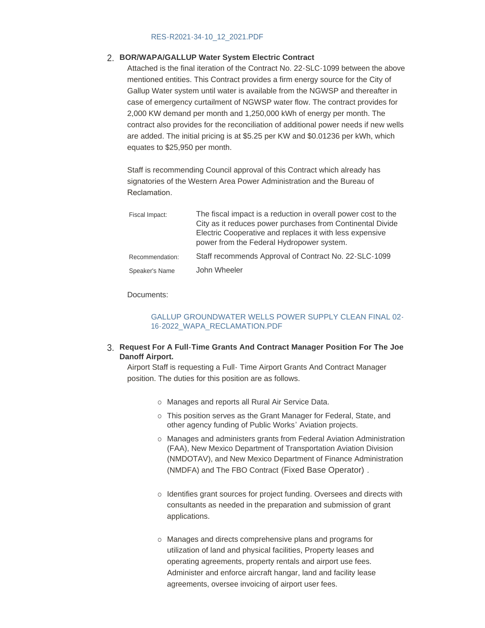## [RES-R2021-34-10\\_12\\_2021.PDF](https://www.gallupnm.gov/AgendaCenter/ViewFile/Item/2886?fileID=12474)

# **BOR/WAPA/GALLUP Water System Electric Contract** 2.

Attached is the final iteration of the Contract No. 22-SLC-1099 between the above mentioned entities. This Contract provides a firm energy source for the City of Gallup Water system until water is available from the NGWSP and thereafter in case of emergency curtailment of NGWSP water flow. The contract provides for 2,000 KW demand per month and 1,250,000 kWh of energy per month. The contract also provides for the reconciliation of additional power needs if new wells are added. The initial pricing is at \$5.25 per KW and \$0.01236 per kWh, which equates to \$25,950 per month.

Staff is recommending Council approval of this Contract which already has signatories of the Western Area Power Administration and the Bureau of Reclamation.

| Fiscal Impact:  | The fiscal impact is a reduction in overall power cost to the<br>City as it reduces power purchases from Continental Divide<br>Electric Cooperative and replaces it with less expensive<br>power from the Federal Hydropower system. |
|-----------------|--------------------------------------------------------------------------------------------------------------------------------------------------------------------------------------------------------------------------------------|
| Recommendation: | Staff recommends Approval of Contract No. 22-SLC-1099                                                                                                                                                                                |
| Speaker's Name  | John Wheeler                                                                                                                                                                                                                         |

#### Documents:

## [GALLUP GROUNDWATER WELLS POWER SUPPLY CLEAN FINAL 02-](https://www.gallupnm.gov/AgendaCenter/ViewFile/Item/2887?fileID=12475) 16-2022\_WAPA\_RECLAMATION.PDF

### **Request For A Full-Time Grants And Contract Manager Position For The Joe**  3. **Danoff Airport.**

Airport Staff is requesting a Full- Time Airport Grants And Contract Manager position. The duties for this position are as follows.

- o Manages and reports all Rural Air Service Data.
- o This position serves as the Grant Manager for Federal, State, and other agency funding of Public Works' Aviation projects.
- o Manages and administers grants from Federal Aviation Administration (FAA), New Mexico Department of Transportation Aviation Division (NMDOTAV), and New Mexico Department of Finance Administration (NMDFA) and The FBO Contract (Fixed Base Operator) .
- o Identifies grant sources for project funding. Oversees and directs with consultants as needed in the preparation and submission of grant applications.
- ¡ Manages and directs comprehensive plans and programs for utilization of land and physical facilities, Property leases and operating agreements, property rentals and airport use fees. Administer and enforce aircraft hangar, land and facility lease agreements, oversee invoicing of airport user fees.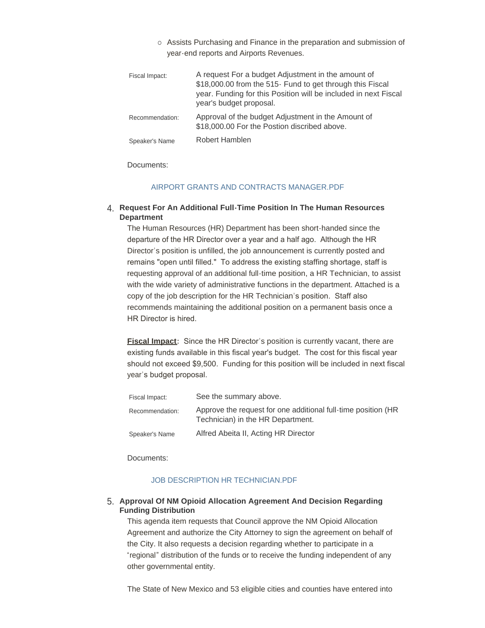o Assists Purchasing and Finance in the preparation and submission of year-end reports and Airports Revenues.

| Fiscal Impact:  | A request For a budget Adjustment in the amount of<br>\$18,000.00 from the 515- Fund to get through this Fiscal<br>year. Funding for this Position will be included in next Fiscal<br>year's budget proposal. |
|-----------------|---------------------------------------------------------------------------------------------------------------------------------------------------------------------------------------------------------------|
| Recommendation: | Approval of the budget Adjustment in the Amount of<br>\$18,000.00 For the Postion discribed above.                                                                                                            |
| Speaker's Name  | Robert Hamblen                                                                                                                                                                                                |

Documents:

### [AIRPORT GRANTS AND CONTRACTS MANAGER.PDF](https://www.gallupnm.gov/AgendaCenter/ViewFile/Item/2890?fileID=12487)

**Request For An Additional Full-Time Position In The Human Resources**  4. **Department**

The Human Resources (HR) Department has been short-handed since the departure of the HR Director over a year and a half ago. Although the HR Director's position is unfilled, the job announcement is currently posted and remains "open until filled." To address the existing staffing shortage, staff is requesting approval of an additional full-time position, a HR Technician, to assist with the wide variety of administrative functions in the department. Attached is a copy of the job description for the HR Technician's position. Staff also recommends maintaining the additional position on a permanent basis once a HR Director is hired.

**Fiscal Impact:** Since the HR Director's position is currently vacant, there are existing funds available in this fiscal year's budget. The cost for this fiscal year should not exceed \$9,500. Funding for this position will be included in next fiscal year's budget proposal.

| Fiscal Impact:  | See the summary above.                                                                             |
|-----------------|----------------------------------------------------------------------------------------------------|
| Recommendation: | Approve the request for one additional full-time position (HR<br>Technician) in the HR Department. |
| Speaker's Name  | Alfred Abeita II, Acting HR Director                                                               |

Documents:

## [JOB DESCRIPTION HR TECHNICIAN.PDF](https://www.gallupnm.gov/AgendaCenter/ViewFile/Item/2882?fileID=12466)

## **Approval Of NM Opioid Allocation Agreement And Decision Regarding**  5. **Funding Distribution**

This agenda item requests that Council approve the NM Opioid Allocation Agreement and authorize the City Attorney to sign the agreement on behalf of the City. It also requests a decision regarding whether to participate in a "regional" distribution of the funds or to receive the funding independent of any other governmental entity.

The State of New Mexico and 53 eligible cities and counties have entered into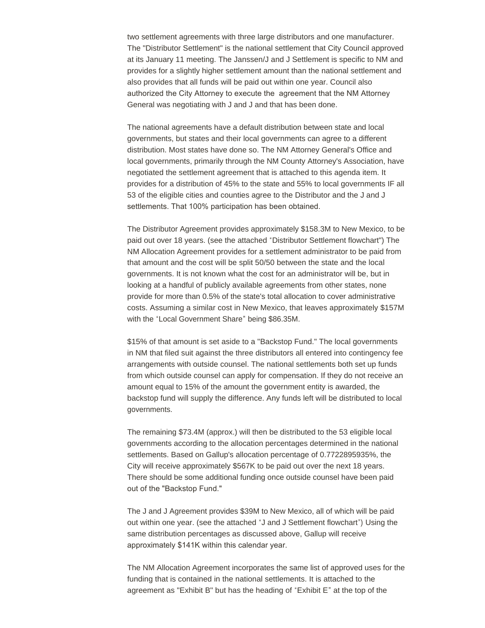two settlement agreements with three large distributors and one manufacturer. The "Distributor Settlement" is the national settlement that City Council approved at its January 11 meeting. The Janssen/J and J Settlement is specific to NM and provides for a slightly higher settlement amount than the national settlement and also provides that all funds will be paid out within one year. Council also authorized the City Attorney to execute the agreement that the NM Attorney General was negotiating with J and J and that has been done.

The national agreements have a default distribution between state and local governments, but states and their local governments can agree to a different distribution. Most states have done so. The NM Attorney General's Office and local governments, primarily through the NM County Attorney's Association, have negotiated the settlement agreement that is attached to this agenda item. It provides for a distribution of 45% to the state and 55% to local governments IF all 53 of the eligible cities and counties agree to the Distributor and the J and J settlements. That 100% participation has been obtained.

The Distributor Agreement provides approximately \$158.3M to New Mexico, to be paid out over 18 years. (see the attached "Distributor Settlement flowchart") The NM Allocation Agreement provides for a settlement administrator to be paid from that amount and the cost will be split 50/50 between the state and the local governments. It is not known what the cost for an administrator will be, but in looking at a handful of publicly available agreements from other states, none provide for more than 0.5% of the state's total allocation to cover administrative costs. Assuming a similar cost in New Mexico, that leaves approximately \$157M with the "Local Government Share" being \$86.35M.

\$15% of that amount is set aside to a "Backstop Fund." The local governments in NM that filed suit against the three distributors all entered into contingency fee arrangements with outside counsel. The national settlements both set up funds from which outside counsel can apply for compensation. If they do not receive an amount equal to 15% of the amount the government entity is awarded, the backstop fund will supply the difference. Any funds left will be distributed to local governments.

The remaining \$73.4M (approx.) will then be distributed to the 53 eligible local governments according to the allocation percentages determined in the national settlements. Based on Gallup's allocation percentage of 0.7722895935%, the City will receive approximately \$567K to be paid out over the next 18 years. There should be some additional funding once outside counsel have been paid out of the "Backstop Fund."

The J and J Agreement provides \$39M to New Mexico, all of which will be paid out within one year. (see the attached "J and J Settlement flowchart") Using the same distribution percentages as discussed above, Gallup will receive approximately \$141K within this calendar year.

The NM Allocation Agreement incorporates the same list of approved uses for the funding that is contained in the national settlements. It is attached to the agreement as "Exhibit B" but has the heading of "Exhibit E" at the top of the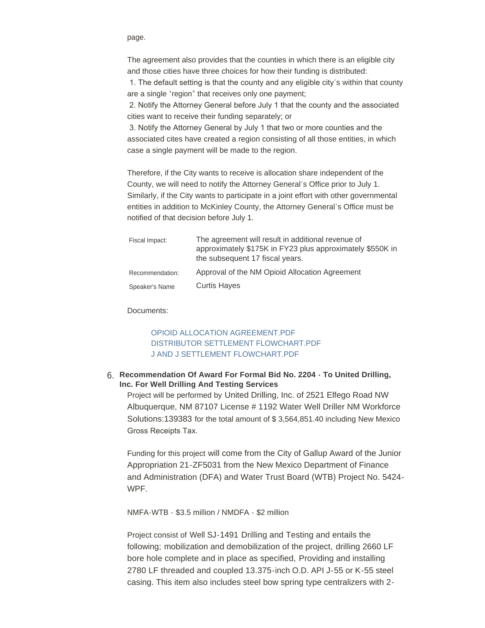page.

The agreement also provides that the counties in which there is an eligible city and those cities have three choices for how their funding is distributed:

 1. The default setting is that the county and any eligible city's within that county are a single "region" that receives only one payment;

 2. Notify the Attorney General before July 1 that the county and the associated cities want to receive their funding separately; or

 3. Notify the Attorney General by July 1 that two or more counties and the associated cites have created a region consisting of all those entities, in which case a single payment will be made to the region.

Therefore, if the City wants to receive is allocation share independent of the County, we will need to notify the Attorney General's Office prior to July 1. Similarly, if the City wants to participate in a joint effort with other governmental entities in addition to McKinley County, the Attorney General's Office must be notified of that decision before July 1.

| Fiscal Impact:  | The agreement will result in additional revenue of<br>approximately \$175K in FY23 plus approximately \$550K in<br>the subsequent 17 fiscal years. |
|-----------------|----------------------------------------------------------------------------------------------------------------------------------------------------|
| Recommendation: | Approval of the NM Opioid Allocation Agreement                                                                                                     |
| Speaker's Name  | <b>Curtis Hayes</b>                                                                                                                                |

Documents:

# [OPIOID ALLOCATION AGREEMENT.PDF](https://www.gallupnm.gov/AgendaCenter/ViewFile/Item/2884?fileID=12467) [DISTRIBUTOR SETTLEMENT FLOWCHART.PDF](https://www.gallupnm.gov/AgendaCenter/ViewFile/Item/2884?fileID=12471) [J AND J SETTLEMENT FLOWCHART.PDF](https://www.gallupnm.gov/AgendaCenter/ViewFile/Item/2884?fileID=12472)

# **Recommendation Of Award For Formal Bid No. 2204 - To United Drilling,**  6. **Inc. For Well Drilling And Testing Services**

Project will be performed by United Drilling, Inc. of 2521 Elfego Road NW Albuquerque, NM 87107 License # 1192 Water Well Driller NM Workforce Solutions:139383 for the total amount of \$ 3,564,851.40 including New Mexico Gross Receipts Tax.

Funding for this project will come from the City of Gallup Award of the Junior Appropriation 21-ZF5031 from the New Mexico Department of Finance and Administration (DFA) and Water Trust Board (WTB) Project No. 5424- WPF.

NMFA-WTB - \$3.5 million / NMDFA - \$2 million

Project consist of Well SJ-1491 Drilling and Testing and entails the following; mobilization and demobilization of the project, drilling 2660 LF bore hole complete and in place as specified, Providing and installing 2780 LF threaded and coupled 13.375-inch O.D. API J-55 or K-55 steel casing. This item also includes steel bow spring type centralizers with 2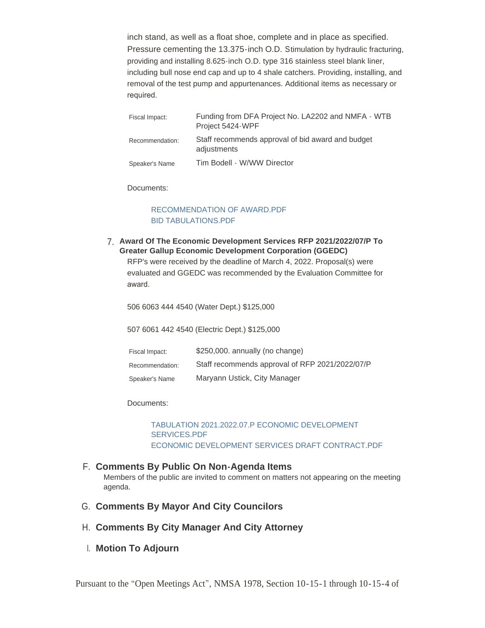inch stand, as well as a float shoe, complete and in place as specified. Pressure cementing the 13.375-inch O.D. Stimulation by hydraulic fracturing, providing and installing 8.625-inch O.D. type 316 stainless steel blank liner, including bull nose end cap and up to 4 shale catchers. Providing, installing, and removal of the test pump and appurtenances. Additional items as necessary or required.

| Fiscal Impact:  | Funding from DFA Project No. LA2202 and NMFA - WTB<br>Project 5424-WPF |
|-----------------|------------------------------------------------------------------------|
| Recommendation: | Staff recommends approval of bid award and budget<br>adjustments       |
| Speaker's Name  | Tim Bodell - W/WW Director                                             |

Documents:

# [RECOMMENDATION OF AWARD.PDF](https://www.gallupnm.gov/AgendaCenter/ViewFile/Item/2894?fileID=12480) [BID TABULATIONS.PDF](https://www.gallupnm.gov/AgendaCenter/ViewFile/Item/2894?fileID=12481)

**Award Of The Economic Development Services RFP 2021/2022/07/P To**  7. **Greater Gallup Economic Development Corporation (GGEDC)**

RFP's were received by the deadline of March 4, 2022. Proposal(s) were evaluated and GGEDC was recommended by the Evaluation Committee for award.

506 6063 444 4540 (Water Dept.) \$125,000

507 6061 442 4540 (Electric Dept.) \$125,000

| Fiscal Impact:  | \$250,000. annually (no change)                 |
|-----------------|-------------------------------------------------|
| Recommendation: | Staff recommends approval of RFP 2021/2022/07/P |
| Speaker's Name  | Maryann Ustick, City Manager                    |

Documents:

[TABULATION 2021.2022.07.P ECONOMIC DEVELOPMENT](https://www.gallupnm.gov/AgendaCenter/ViewFile/Item/2893?fileID=12478)  SERVICES.PDF [ECONOMIC DEVELOPMENT SERVICES DRAFT CONTRACT.PDF](https://www.gallupnm.gov/AgendaCenter/ViewFile/Item/2893?fileID=12479)

# **Comments By Public On Non-Agenda Items** F.

Members of the public are invited to comment on matters not appearing on the meeting agenda.

- G. Comments By Mayor And City Councilors
- **Comments By City Manager And City Attorney** H.
- **Motion To Adjourn** I.